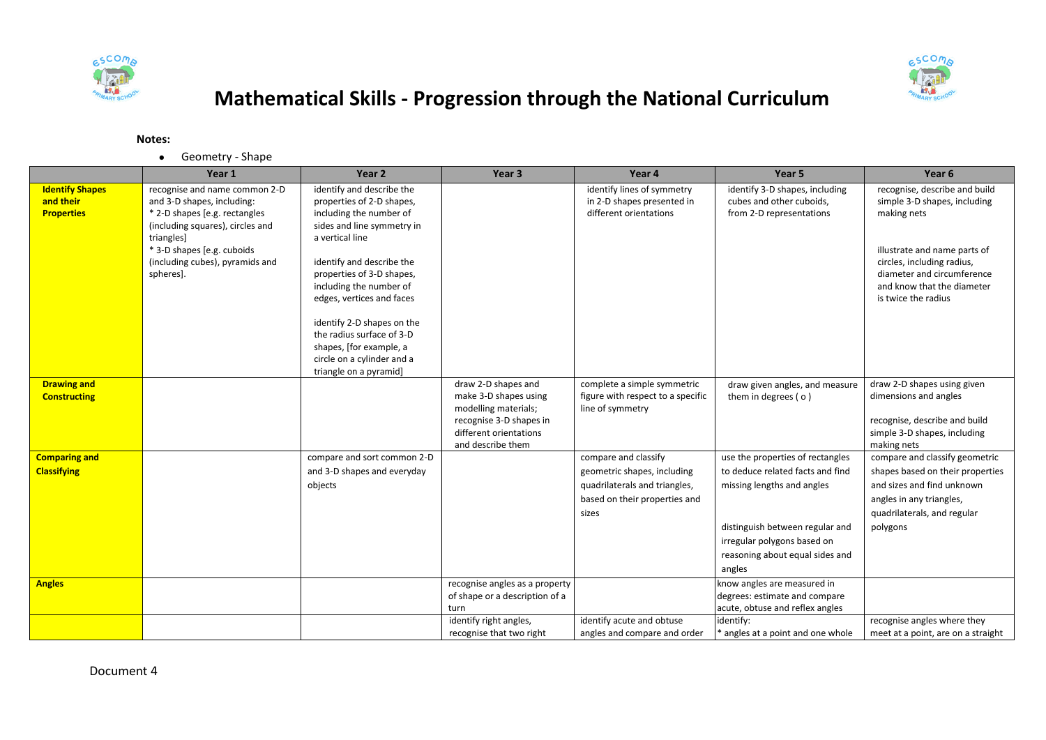



## **Mathematical Skills - Progression through the National Curriculum**

## **Notes:**

Geometry - Shape

|                                                          | Year 1                                                                                                                                                                        | Year 2                                                                                                                                                                                                                             | Year <sub>3</sub>                                                                                                                              | Year 4                                                                                        | Year <sub>5</sub>                                                                                           | Year 6                                                                                                                |
|----------------------------------------------------------|-------------------------------------------------------------------------------------------------------------------------------------------------------------------------------|------------------------------------------------------------------------------------------------------------------------------------------------------------------------------------------------------------------------------------|------------------------------------------------------------------------------------------------------------------------------------------------|-----------------------------------------------------------------------------------------------|-------------------------------------------------------------------------------------------------------------|-----------------------------------------------------------------------------------------------------------------------|
| <b>Identify Shapes</b><br>and their<br><b>Properties</b> | recognise and name common 2-D<br>and 3-D shapes, including:<br>* 2-D shapes [e.g. rectangles]<br>(including squares), circles and<br>triangles]<br>* 3-D shapes [e.g. cuboids | identify and describe the<br>properties of 2-D shapes,<br>including the number of<br>sides and line symmetry in<br>a vertical line                                                                                                 |                                                                                                                                                | identify lines of symmetry<br>in 2-D shapes presented in<br>different orientations            | identify 3-D shapes, including<br>cubes and other cuboids,<br>from 2-D representations                      | recognise, describe and build<br>simple 3-D shapes, including<br>making nets<br>illustrate and name parts of          |
|                                                          | (including cubes), pyramids and<br>spheres].                                                                                                                                  | identify and describe the<br>properties of 3-D shapes,<br>including the number of<br>edges, vertices and faces<br>identify 2-D shapes on the<br>the radius surface of 3-D<br>shapes, [for example, a<br>circle on a cylinder and a |                                                                                                                                                |                                                                                               |                                                                                                             | circles, including radius,<br>diameter and circumference<br>and know that the diameter<br>is twice the radius         |
|                                                          |                                                                                                                                                                               | triangle on a pyramid]                                                                                                                                                                                                             |                                                                                                                                                |                                                                                               |                                                                                                             |                                                                                                                       |
| <b>Drawing and</b><br><b>Constructing</b>                |                                                                                                                                                                               |                                                                                                                                                                                                                                    | draw 2-D shapes and<br>make 3-D shapes using<br>modelling materials;<br>recognise 3-D shapes in<br>different orientations<br>and describe them | complete a simple symmetric<br>figure with respect to a specific<br>line of symmetry          | draw given angles, and measure<br>them in degrees (o)                                                       | draw 2-D shapes using given<br>dimensions and angles<br>recognise, describe and build<br>simple 3-D shapes, including |
| <b>Comparing and</b>                                     |                                                                                                                                                                               | compare and sort common 2-D                                                                                                                                                                                                        |                                                                                                                                                | compare and classify                                                                          | use the properties of rectangles                                                                            | making nets<br>compare and classify geometric                                                                         |
| <b>Classifying</b>                                       |                                                                                                                                                                               | and 3-D shapes and everyday<br>objects                                                                                                                                                                                             |                                                                                                                                                | geometric shapes, including<br>quadrilaterals and triangles,<br>based on their properties and | to deduce related facts and find<br>missing lengths and angles                                              | shapes based on their properties<br>and sizes and find unknown<br>angles in any triangles,                            |
|                                                          |                                                                                                                                                                               |                                                                                                                                                                                                                                    |                                                                                                                                                | sizes                                                                                         | distinguish between regular and<br>irregular polygons based on<br>reasoning about equal sides and<br>angles | quadrilaterals, and regular<br>polygons                                                                               |
| <b>Angles</b>                                            |                                                                                                                                                                               |                                                                                                                                                                                                                                    | recognise angles as a property<br>of shape or a description of a<br>turn                                                                       |                                                                                               | know angles are measured in<br>degrees: estimate and compare<br>acute, obtuse and reflex angles             |                                                                                                                       |
|                                                          |                                                                                                                                                                               |                                                                                                                                                                                                                                    | identify right angles,                                                                                                                         | identify acute and obtuse                                                                     | identify:                                                                                                   | recognise angles where they                                                                                           |
|                                                          |                                                                                                                                                                               |                                                                                                                                                                                                                                    | recognise that two right                                                                                                                       | angles and compare and order                                                                  | * angles at a point and one whole                                                                           | meet at a point, are on a straight                                                                                    |